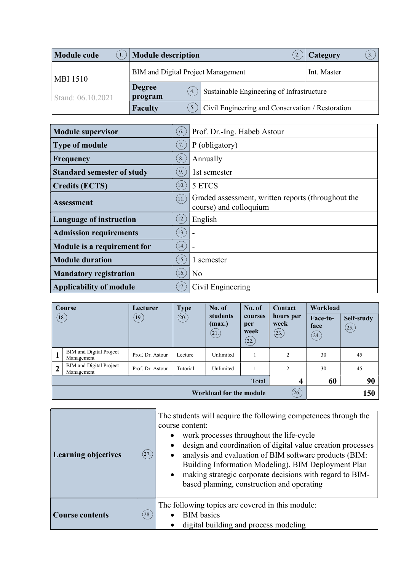| <b>Module code</b> | <b>Module description</b>          |                                                  | Category<br>3. |  |
|--------------------|------------------------------------|--------------------------------------------------|----------------|--|
| <b>MBI 1510</b>    | BIM and Digital Project Management | Int. Master                                      |                |  |
| Stand: 06.10.2021  | <b>Degree</b><br>4.<br>program     | Sustainable Engineering of Infrastructure        |                |  |
|                    | <b>Faculty</b>                     | Civil Engineering and Conservation / Restoration |                |  |

| <b>Module supervisor</b>          | 6.                 | Prof. Dr.-Ing. Habeb Astour                                                  |
|-----------------------------------|--------------------|------------------------------------------------------------------------------|
| <b>Type of module</b>             | 7.                 | P (obligatory)                                                               |
| <b>Frequency</b>                  | 8.                 | Annually                                                                     |
| <b>Standard semester of study</b> | 9.                 | 1st semester                                                                 |
| <b>Credits (ECTS)</b>             | $\left[10.\right)$ | 5 ETCS                                                                       |
| <b>Assessment</b>                 | (11.)              | Graded assessment, written reports (throughout the<br>course) and colloquium |
| <b>Language of instruction</b>    | (12.)              | English                                                                      |
| <b>Admission requirements</b>     | (13.)              |                                                                              |
| Module is a requirement for       | (14)               |                                                                              |
| <b>Module duration</b>            | (15.)              | 1 semester                                                                   |
| <b>Mandatory registration</b>     | $\left(16.\right)$ | N <sub>o</sub>                                                               |
| <b>Applicability of module</b>    | $\left(17\right)$  | Civil Engineering                                                            |

| Course         |                                              | Lecturer         | <b>Type</b> | No. of                      | No. of                                         | <b>Contact</b>             | Workload                 |                     |
|----------------|----------------------------------------------|------------------|-------------|-----------------------------|------------------------------------------------|----------------------------|--------------------------|---------------------|
|                | (18.)                                        | (19)             | (20.)       | students<br>(max.)<br>(21.) | courses<br>per<br>week<br>$\left( 22. \right)$ | hours per<br>week<br>(23.) | Face-to-<br>face<br>(24) | Self-study<br>(25.) |
| п              | <b>BIM</b> and Digital Project<br>Management | Prof. Dr. Astour | Lecture     | Unlimited                   |                                                | 2                          | 30                       | 45                  |
| $\overline{2}$ | <b>BIM</b> and Digital Project<br>Management | Prof. Dr. Astour | Tutorial    | Unlimited                   |                                                | $\overline{c}$             | 30                       | 45                  |
|                | 60<br>Total<br>4                             |                  |             |                             |                                                | 90                         |                          |                     |
|                | (26)<br><b>Workload for the module</b>       |                  |             |                             | 150                                            |                            |                          |                     |

| (27.)<br><b>Learning objectives</b> | The students will acquire the following competences through the<br>course content:<br>work processes throughout the life-cycle<br>design and coordination of digital value creation processes<br>analysis and evaluation of BIM software products (BIM:<br>Building Information Modeling), BIM Deployment Plan<br>making strategic corporate decisions with regard to BIM-<br>based planning, construction and operating |
|-------------------------------------|--------------------------------------------------------------------------------------------------------------------------------------------------------------------------------------------------------------------------------------------------------------------------------------------------------------------------------------------------------------------------------------------------------------------------|
| <b>Course contents</b><br>(28.)     | The following topics are covered in this module:<br><b>BIM</b> basics<br>digital building and process modeling                                                                                                                                                                                                                                                                                                           |